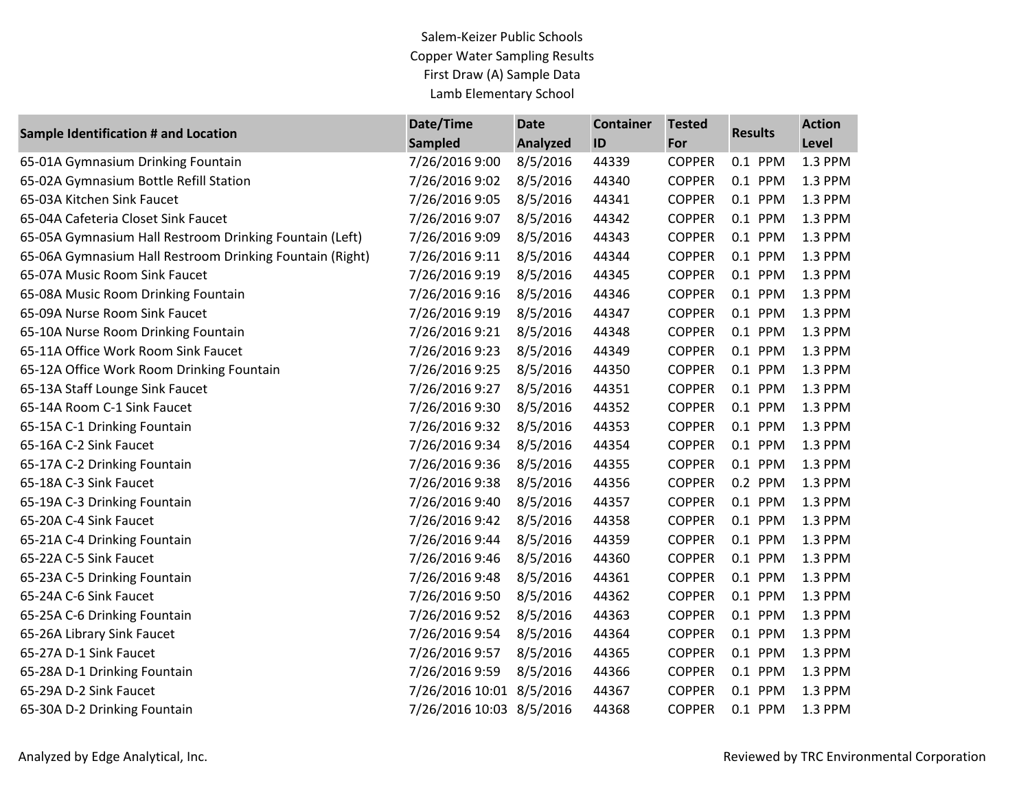## Salem-Keizer Public Schools Copper Water Sampling Results First Draw (A) Sample Data Lamb Elementary School

| <b>Sample Identification # and Location</b>              | Date/Time                | <b>Date</b>     | <b>Container</b> | <b>Tested</b> | <b>Results</b> | <b>Action</b> |
|----------------------------------------------------------|--------------------------|-----------------|------------------|---------------|----------------|---------------|
|                                                          | <b>Sampled</b>           | <b>Analyzed</b> | ID               | For           |                | Level         |
| 65-01A Gymnasium Drinking Fountain                       | 7/26/2016 9:00           | 8/5/2016        | 44339            | <b>COPPER</b> | 0.1 PPM        | 1.3 PPM       |
| 65-02A Gymnasium Bottle Refill Station                   | 7/26/2016 9:02           | 8/5/2016        | 44340            | <b>COPPER</b> | 0.1 PPM        | 1.3 PPM       |
| 65-03A Kitchen Sink Faucet                               | 7/26/2016 9:05           | 8/5/2016        | 44341            | <b>COPPER</b> | 0.1 PPM        | 1.3 PPM       |
| 65-04A Cafeteria Closet Sink Faucet                      | 7/26/2016 9:07           | 8/5/2016        | 44342            | <b>COPPER</b> | 0.1 PPM        | 1.3 PPM       |
| 65-05A Gymnasium Hall Restroom Drinking Fountain (Left)  | 7/26/2016 9:09           | 8/5/2016        | 44343            | <b>COPPER</b> | 0.1 PPM        | 1.3 PPM       |
| 65-06A Gymnasium Hall Restroom Drinking Fountain (Right) | 7/26/2016 9:11           | 8/5/2016        | 44344            | <b>COPPER</b> | 0.1 PPM        | 1.3 PPM       |
| 65-07A Music Room Sink Faucet                            | 7/26/2016 9:19           | 8/5/2016        | 44345            | <b>COPPER</b> | 0.1 PPM        | 1.3 PPM       |
| 65-08A Music Room Drinking Fountain                      | 7/26/2016 9:16           | 8/5/2016        | 44346            | <b>COPPER</b> | 0.1 PPM        | 1.3 PPM       |
| 65-09A Nurse Room Sink Faucet                            | 7/26/2016 9:19           | 8/5/2016        | 44347            | <b>COPPER</b> | 0.1 PPM        | 1.3 PPM       |
| 65-10A Nurse Room Drinking Fountain                      | 7/26/2016 9:21           | 8/5/2016        | 44348            | <b>COPPER</b> | 0.1 PPM        | 1.3 PPM       |
| 65-11A Office Work Room Sink Faucet                      | 7/26/2016 9:23           | 8/5/2016        | 44349            | <b>COPPER</b> | 0.1 PPM        | 1.3 PPM       |
| 65-12A Office Work Room Drinking Fountain                | 7/26/2016 9:25           | 8/5/2016        | 44350            | <b>COPPER</b> | 0.1 PPM        | 1.3 PPM       |
| 65-13A Staff Lounge Sink Faucet                          | 7/26/2016 9:27           | 8/5/2016        | 44351            | <b>COPPER</b> | 0.1 PPM        | 1.3 PPM       |
| 65-14A Room C-1 Sink Faucet                              | 7/26/2016 9:30           | 8/5/2016        | 44352            | <b>COPPER</b> | 0.1 PPM        | 1.3 PPM       |
| 65-15A C-1 Drinking Fountain                             | 7/26/2016 9:32           | 8/5/2016        | 44353            | <b>COPPER</b> | 0.1 PPM        | 1.3 PPM       |
| 65-16A C-2 Sink Faucet                                   | 7/26/2016 9:34           | 8/5/2016        | 44354            | <b>COPPER</b> | 0.1 PPM        | 1.3 PPM       |
| 65-17A C-2 Drinking Fountain                             | 7/26/2016 9:36           | 8/5/2016        | 44355            | <b>COPPER</b> | 0.1 PPM        | 1.3 PPM       |
| 65-18A C-3 Sink Faucet                                   | 7/26/2016 9:38           | 8/5/2016        | 44356            | <b>COPPER</b> | 0.2 PPM        | 1.3 PPM       |
| 65-19A C-3 Drinking Fountain                             | 7/26/2016 9:40           | 8/5/2016        | 44357            | <b>COPPER</b> | 0.1 PPM        | 1.3 PPM       |
| 65-20A C-4 Sink Faucet                                   | 7/26/2016 9:42           | 8/5/2016        | 44358            | <b>COPPER</b> | 0.1 PPM        | 1.3 PPM       |
| 65-21A C-4 Drinking Fountain                             | 7/26/2016 9:44           | 8/5/2016        | 44359            | <b>COPPER</b> | 0.1 PPM        | 1.3 PPM       |
| 65-22A C-5 Sink Faucet                                   | 7/26/2016 9:46           | 8/5/2016        | 44360            | <b>COPPER</b> | 0.1 PPM        | 1.3 PPM       |
| 65-23A C-5 Drinking Fountain                             | 7/26/2016 9:48           | 8/5/2016        | 44361            | <b>COPPER</b> | 0.1 PPM        | 1.3 PPM       |
| 65-24A C-6 Sink Faucet                                   | 7/26/2016 9:50           | 8/5/2016        | 44362            | <b>COPPER</b> | 0.1 PPM        | 1.3 PPM       |
| 65-25A C-6 Drinking Fountain                             | 7/26/2016 9:52           | 8/5/2016        | 44363            | <b>COPPER</b> | 0.1 PPM        | 1.3 PPM       |
| 65-26A Library Sink Faucet                               | 7/26/2016 9:54           | 8/5/2016        | 44364            | <b>COPPER</b> | 0.1 PPM        | 1.3 PPM       |
| 65-27A D-1 Sink Faucet                                   | 7/26/2016 9:57           | 8/5/2016        | 44365            | <b>COPPER</b> | 0.1 PPM        | 1.3 PPM       |
| 65-28A D-1 Drinking Fountain                             | 7/26/2016 9:59           | 8/5/2016        | 44366            | <b>COPPER</b> | 0.1 PPM        | 1.3 PPM       |
| 65-29A D-2 Sink Faucet                                   | 7/26/2016 10:01          | 8/5/2016        | 44367            | <b>COPPER</b> | 0.1 PPM        | 1.3 PPM       |
| 65-30A D-2 Drinking Fountain                             | 7/26/2016 10:03 8/5/2016 |                 | 44368            | <b>COPPER</b> | 0.1 PPM        | 1.3 PPM       |